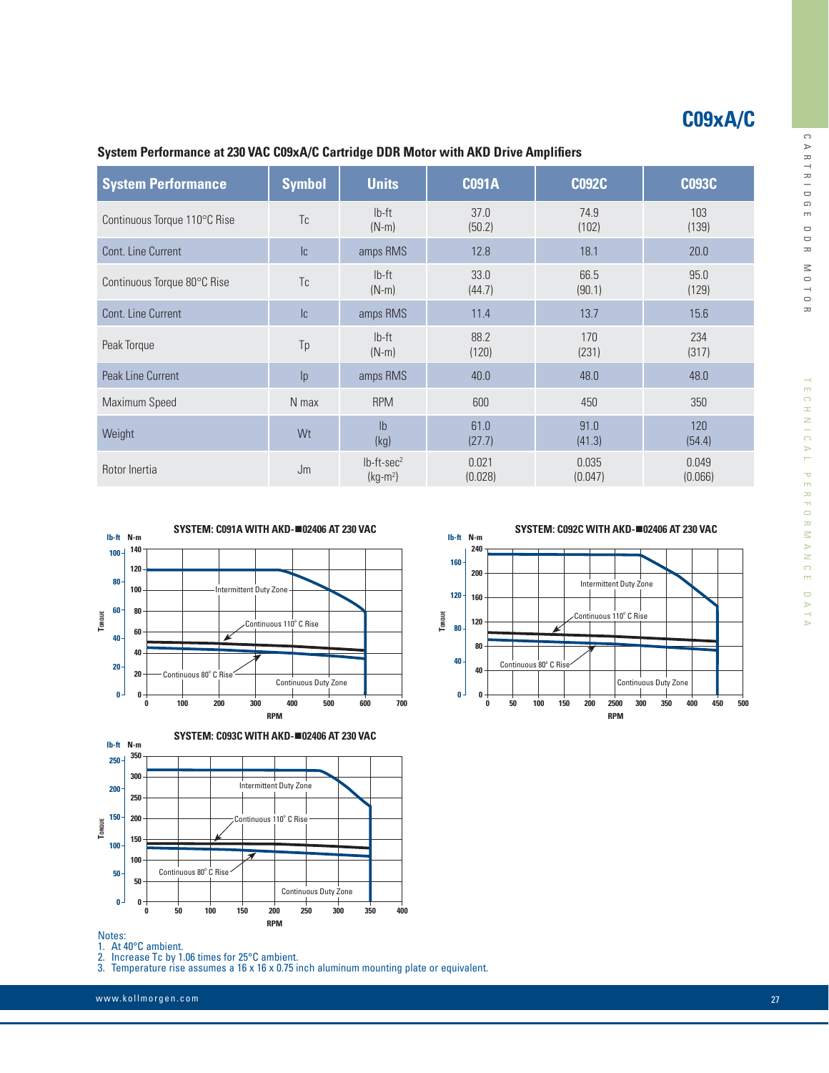# **C09xA/C**

System Performance | Symbol | Units | C091A | C092C | C093C Continuous Torque 110°C Rise Tc lb-ft (N-m) 37.0 (50.2) 74.9 (102) 103 (139) Cont. Line Current 10 12.0 12.8 12.8 18.1 12.0 18.1 20.0 Continuous Torque 80°C Rise Tc lb-ft (N-m) 33.0 (44.7) 66.5 (90.1) 95.0 (129) Cont. Line Current **Ic** content **IC amps RMS** 11.4 13.7 15.6 Peak Torque **Tp** lb-ft (N-m) 88.2 (120) 170 (231) 234 (317) Peak Line Current **IP amps RMS** 40.0 48.0 48.0 48.0 48.0 Maximum Speed **N** max RPM 600 450 350 350  $\frac{1}{2}$  Weight  $\frac{1}{2}$  weight  $\frac{1}{2}$ (kg) 61.0 (27.7) 91.0 (41.3) 120 (54.4) Rotor Inertia  $\mathsf{Jm}$  lb-ft-sec<sup>2</sup>  $(kg-m<sup>2</sup>)$ 0.021 (0.028) 0.035 (0.047) 0.049 (0.066)

### **System Performance at 230 VAC C09xA/C Cartridge DDR Motor with AKD Drive Amplifiers**





#### Notes:

1. At 40°C ambient.

2. Increase Tc by 1.06 times for 25°C ambient.

3. Temperature rise assumes a 16 x 16 x 0.75 inch aluminum mounting plate or equivalent.

**SYSTEM: C092C WITH AKD-**n**02406 AT 230 VAC**



 $\cup$